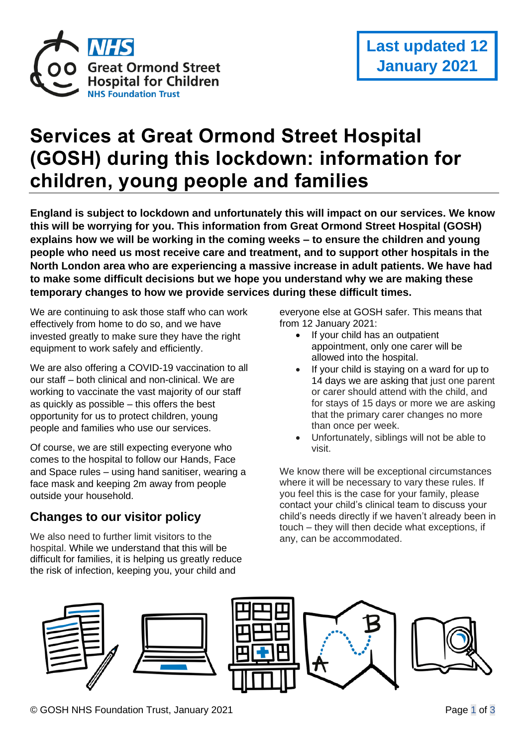

# **Services at Great Ormond Street Hospital (GOSH) during this lockdown: information for children, young people and families**

**England is subject to lockdown and unfortunately this will impact on our services. We know this will be worrying for you. This information from Great Ormond Street Hospital (GOSH) explains how we will be working in the coming weeks – to ensure the children and young people who need us most receive care and treatment, and to support other hospitals in the North London area who are experiencing a massive increase in adult patients. We have had to make some difficult decisions but we hope you understand why we are making these temporary changes to how we provide services during these difficult times.** 

We are continuing to ask those staff who can work effectively from home to do so, and we have invested greatly to make sure they have the right equipment to work safely and efficiently.

We are also offering a COVID-19 vaccination to all our staff – both clinical and non-clinical. We are working to vaccinate the vast majority of our staff as quickly as possible – this offers the best opportunity for us to protect children, young people and families who use our services.

Of course, we are still expecting everyone who comes to the hospital to follow our Hands, Face and Space rules – using hand sanitiser, wearing a face mask and keeping 2m away from people outside your household.

## **Changes to our visitor policy**

We also need to further limit visitors to the hospital. While we understand that this will be difficult for families, it is helping us greatly reduce the risk of infection, keeping you, your child and

everyone else at GOSH safer. This means that from 12 January 2021:

- If your child has an outpatient appointment, only one carer will be allowed into the hospital.
- If your child is staying on a ward for up to 14 days we are asking that just one parent or carer should attend with the child, and for stays of 15 days or more we are asking that the primary carer changes no more than once per week.
- Unfortunately, siblings will not be able to visit.

We know there will be exceptional circumstances where it will be necessary to vary these rules. If you feel this is the case for your family, please contact your child's clinical team to discuss your child's needs directly if we haven't already been in touch – they will then decide what exceptions, if any, can be accommodated.







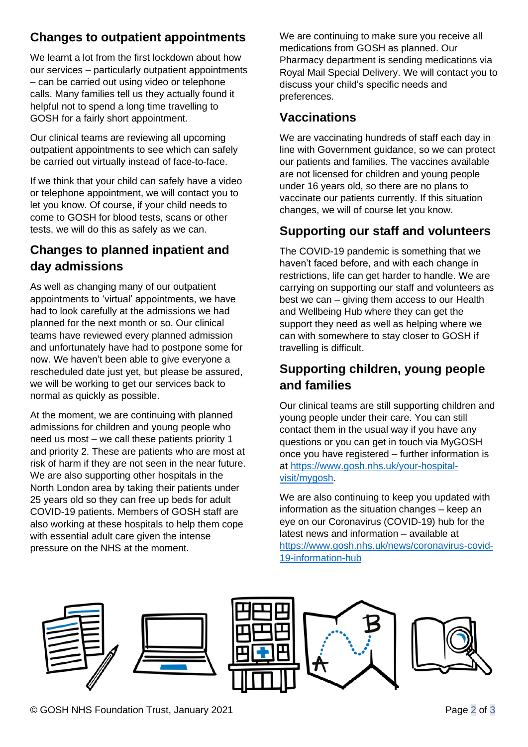## **Changes to outpatient appointments**

We learnt a lot from the first lockdown about how our services – particularly outpatient appointments – can be carried out using video or telephone calls. Many families tell us they actually found it helpful not to spend a long time travelling to GOSH for a fairly short appointment.

Our clinical teams are reviewing all upcoming outpatient appointments to see which can safely be carried out virtually instead of face-to-face.

If we think that your child can safely have a video or telephone appointment, we will contact you to let you know. Of course, if your child needs to come to GOSH for blood tests, scans or other tests, we will do this as safely as we can.

#### **Changes to planned inpatient and day admissions**

As well as changing many of our outpatient appointments to 'virtual' appointments, we have had to look carefully at the admissions we had planned for the next month or so. Our clinical teams have reviewed every planned admission and unfortunately have had to postpone some for now. We haven't been able to give everyone a rescheduled date just yet, but please be assured, we will be working to get our services back to normal as quickly as possible.

At the moment, we are continuing with planned admissions for children and young people who need us most – we call these patients priority 1 and priority 2. These are patients who are most at risk of harm if they are not seen in the near future. We are also supporting other hospitals in the North London area by taking their patients under 25 years old so they can free up beds for adult COVID-19 patients. Members of GOSH staff are also working at these hospitals to help them cope with essential adult care given the intense pressure on the NHS at the moment.

We are continuing to make sure you receive all medications from GOSH as planned. Our Pharmacy department is sending medications via Royal Mail Special Delivery. We will contact you to discuss your child's specific needs and preferences.

#### **Vaccinations**

We are vaccinating hundreds of staff each day in line with Government guidance, so we can protect our patients and families. The vaccines available are not licensed for children and young people under 16 years old, so there are no plans to vaccinate our patients currently. If this situation changes, we will of course let you know.

#### **Supporting our staff and volunteers**

The COVID-19 pandemic is something that we haven't faced before, and with each change in restrictions, life can get harder to handle. We are carrying on supporting our staff and volunteers as best we can – giving them access to our Health and Wellbeing Hub where they can get the support they need as well as helping where we can with somewhere to stay closer to GOSH if travelling is difficult.

## **Supporting children, young people and families**

Our clinical teams are still supporting children and young people under their care. You can still contact them in the usual way if you have any questions or you can get in touch via MyGOSH once you have registered – further information is at [https://www.gosh.nhs.uk/your-hospital](https://www.gosh.nhs.uk/your-hospital-visit/mygosh)[visit/mygosh.](https://www.gosh.nhs.uk/your-hospital-visit/mygosh)

We are also continuing to keep you updated with information as the situation changes – keep an eye on our Coronavirus (COVID-19) hub for the latest news and information – available at [https://www.gosh.nhs.uk/news/coronavirus-covid-](https://www.gosh.nhs.uk/news/coronavirus-covid-19-information-hub)[19-information-hub](https://www.gosh.nhs.uk/news/coronavirus-covid-19-information-hub)